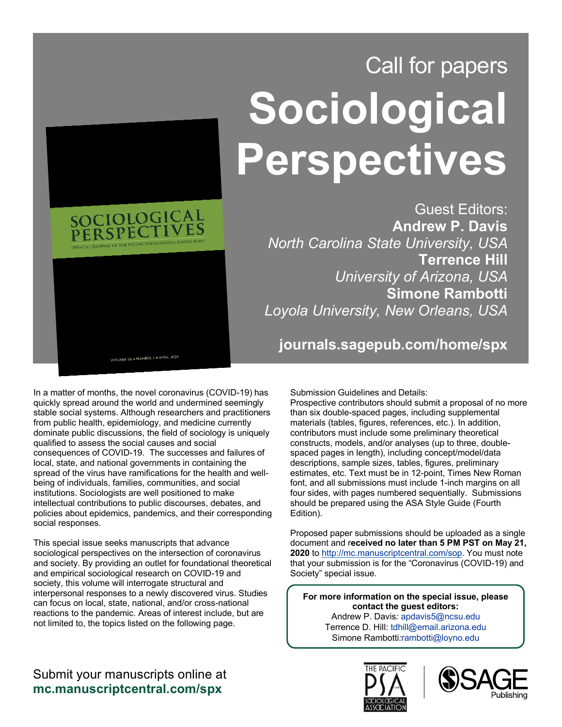

## Call for papers **Sociological Perspectives**

Guest Editors: **Andrew P. Davis**  *North Carolina State University, USA* **Terrence Hill**  *University of Arizona, USA* **Simone Rambotti**  *Loyola University, New Orleans, USA*

**journals.sagepub.com/home/spx**

In a matter of months, the novel coronavirus (COVID-19) has quickly spread around the world and undermined seemingly stable social systems. Although researchers and practitioners from public health, epidemiology, and medicine currently dominate public discussions, the field of sociology is uniquely qualified to assess the social causes and social consequences of COVID-19. The successes and failures of local, state, and national governments in containing the spread of the virus have ramifications for the health and wellbeing of individuals, families, communities, and social institutions. Sociologists are well positioned to make intellectual contributions to public discourses, debates, and policies about epidemics, pandemics, and their corresponding social responses.

This special issue seeks manuscripts that advance sociological perspectives on the intersection of coronavirus and society. By providing an outlet for foundational theoretical and empirical sociological research on COVID-19 and society, this volume will interrogate structural and interpersonal responses to a newly discovered virus. Studies can focus on local, state, national, and/or cross-national reactions to the pandemic. Areas of interest include, but are not limited to, the topics listed on the following page.

Submission Guidelines and Details:

Prospective contributors should submit a proposal of no more than six double-spaced pages, including supplemental materials (tables, figures, references, etc.). In addition, contributors must include some preliminary theoretical constructs, models, and/or analyses (up to three, doublespaced pages in length), including concept/model/data descriptions, sample sizes, tables, figures, preliminary estimates, etc. Text must be in 12-point, Times New Roman font, and all submissions must include 1-inch margins on all four sides, with pages numbered sequentially. Submissions should be prepared using the ASA Style Guide (Fourth Edition).

Proposed paper submissions should be uploaded as a single document and r**eceived no later than 5 PM PST on May 21, 2020** t[o http://mc.manuscriptcentral.com/sop.](http://mc.manuscriptcentral.com/sop) You must note that your submission is for the "Coronavirus (COVID-19) and Society" special issue.

**For more information on the special issue, please contact the guest editors:** Andrew P. Davis*:* [apdavis5@ncsu.edu](mailto:apdavis5@ncsu.edu) Terrence D. Hill[: tdhill@email.arizona.edu](mailto:tdhill@email.arizona.edu) Simone Rambotti*:*[rambotti@loyno.edu](mailto:rambotti@loyno.edu)

## Submit your manuscripts online at **mc.manuscriptcentral.com/spx**